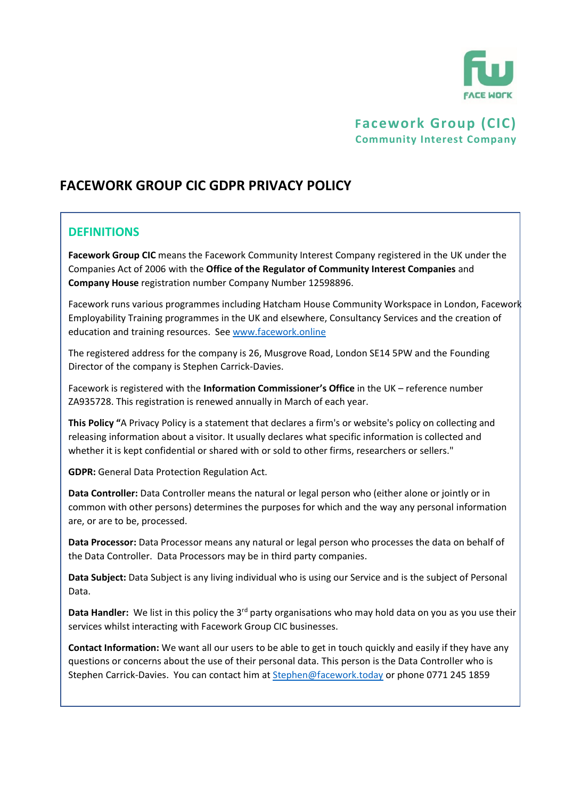

# **Facework Group (CIC) Community Interest Company**

# **FACEWORK GROUP CIC GDPR PRIVACY POLICY**

# **DEFINITIONS**

**Facework Group CIC** means the Facework Community Interest Company registered in the UK under the Companies Act of 2006 with the **Office of the Regulator of Community Interest Companies** and **Company House** registration number Company Number 12598896.

Facework runs various programmes including Hatcham House Community Workspace in London, Facework Employability Training programmes in the UK and elsewhere, Consultancy Services and the creation of education and training resources. See [www.facework.online](http://www.facework.online/)

The registered address for the company is 26, Musgrove Road, London SE14 5PW and the Founding Director of the company is Stephen Carrick-Davies.

Facework is registered with the **Information Commissioner's Office** in the UK – reference number ZA935728. This registration is renewed annually in March of each year.

**This Policy "**A Privacy Policy is a statement that declares a firm's or website's policy on collecting and releasing information about a visitor. It usually declares what specific information is collected and whether it is kept confidential or shared with or sold to other firms, researchers or sellers."

**GDPR:** General Data Protection Regulation Act.

**Data Controller:** Data Controller means the natural or legal person who (either alone or jointly or in common with other persons) determines the purposes for which and the way any personal information are, or are to be, processed.

**Data Processor:** Data Processor means any natural or legal person who processes the data on behalf of the Data Controller. Data Processors may be in third party companies.

**Data Subject:** Data Subject is any living individual who is using our Service and is the subject of Personal Data.

Data Handler: We list in this policy the 3<sup>rd</sup> party organisations who may hold data on you as you use their services whilst interacting with Facework Group CIC businesses.

**Contact Information:** We want all our users to be able to get in touch quickly and easily if they have any questions or concerns about the use of their personal data. This person is the Data Controller who is Stephen Carrick-Davies. You can contact him a[t Stephen@facework.today](mailto:Stephen@facework.today) or phone 0771 245 1859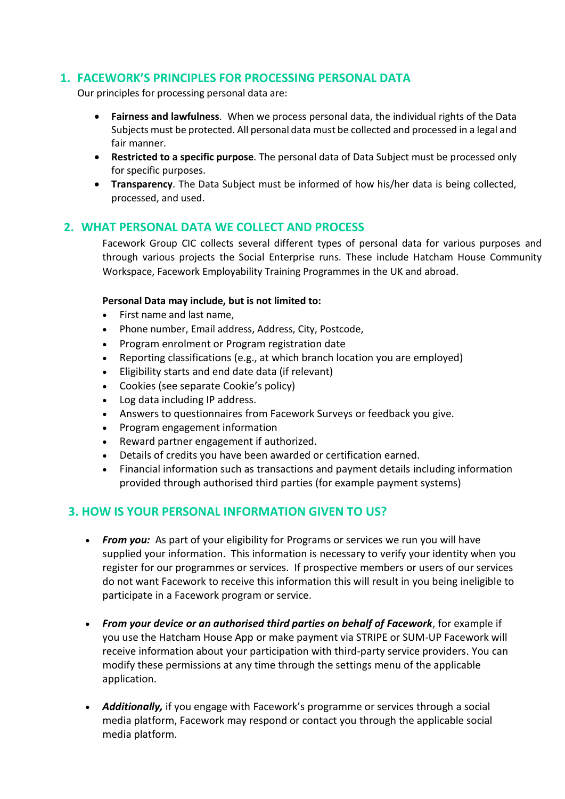# **1. FACEWORK'S PRINCIPLES FOR PROCESSING PERSONAL DATA**

Our principles for processing personal data are:

- **Fairness and lawfulness**. When we process personal data, the individual rights of the Data Subjects must be protected. All personal data must be collected and processed in a legal and fair manner.
- **Restricted to a specific purpose**. The personal data of Data Subject must be processed only for specific purposes.
- **Transparency**. The Data Subject must be informed of how his/her data is being collected, processed, and used.

# **2. WHAT PERSONAL DATA WE COLLECT AND PROCESS**

Facework Group CIC collects several different types of personal data for various purposes and through various projects the Social Enterprise runs. These include Hatcham House Community Workspace, Facework Employability Training Programmes in the UK and abroad.

#### **Personal Data may include, but is not limited to:**

- First name and last name,
- Phone number, Email address, Address, City, Postcode,
- Program enrolment or Program registration date
- Reporting classifications (e.g., at which branch location you are employed)
- Eligibility starts and end date data (if relevant)
- Cookies (see separate Cookie's policy)
- Log data including IP address.
- Answers to questionnaires from Facework Surveys or feedback you give.
- Program engagement information
- Reward partner engagement if authorized.
- Details of credits you have been awarded or certification earned.
- Financial information such as transactions and payment details including information provided through authorised third parties (for example payment systems)

### **3. HOW IS YOUR PERSONAL INFORMATION GIVEN TO US?**

- *From you:* As part of your eligibility for Programs or services we run you will have supplied your information. This information is necessary to verify your identity when you register for our programmes or services. If prospective members or users of our services do not want Facework to receive this information this will result in you being ineligible to participate in a Facework program or service.
- *From your device or an authorised third parties on behalf of Facework*, for example if you use the Hatcham House App or make payment via STRIPE or SUM-UP Facework will receive information about your participation with third-party service providers. You can modify these permissions at any time through the settings menu of the applicable application.
- *Additionally,* if you engage with Facework's programme or services through a social media platform, Facework may respond or contact you through the applicable social media platform.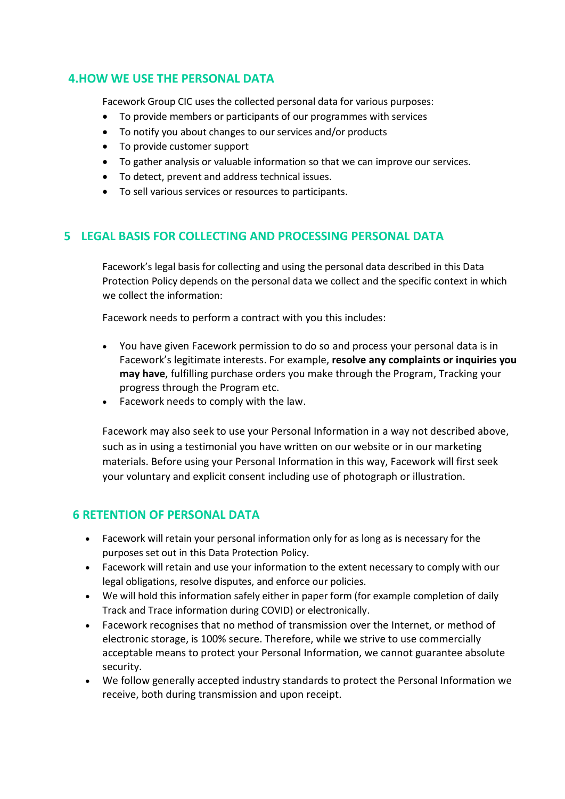# **4.HOW WE USE THE PERSONAL DATA**

Facework Group CIC uses the collected personal data for various purposes:

- To provide members or participants of our programmes with services
- To notify you about changes to our services and/or products
- To provide customer support
- To gather analysis or valuable information so that we can improve our services.
- To detect, prevent and address technical issues.
- To sell various services or resources to participants.

# **5 LEGAL BASIS FOR COLLECTING AND PROCESSING PERSONAL DATA**

Facework's legal basis for collecting and using the personal data described in this Data Protection Policy depends on the personal data we collect and the specific context in which we collect the information:

Facework needs to perform a contract with you this includes:

- You have given Facework permission to do so and process your personal data is in Facework's legitimate interests. For example, **resolve any complaints or inquiries you may have**, fulfilling purchase orders you make through the Program, Tracking your progress through the Program etc.
- Facework needs to comply with the law.

Facework may also seek to use your Personal Information in a way not described above, such as in using a testimonial you have written on our website or in our marketing materials. Before using your Personal Information in this way, Facework will first seek your voluntary and explicit consent including use of photograph or illustration.

# **6 RETENTION OF PERSONAL DATA**

- Facework will retain your personal information only for as long as is necessary for the purposes set out in this Data Protection Policy.
- Facework will retain and use your information to the extent necessary to comply with our legal obligations, resolve disputes, and enforce our policies.
- We will hold this information safely either in paper form (for example completion of daily Track and Trace information during COVID) or electronically.
- Facework recognises that no method of transmission over the Internet, or method of electronic storage, is 100% secure. Therefore, while we strive to use commercially acceptable means to protect your Personal Information, we cannot guarantee absolute security.
- We follow generally accepted industry standards to protect the Personal Information we receive, both during transmission and upon receipt.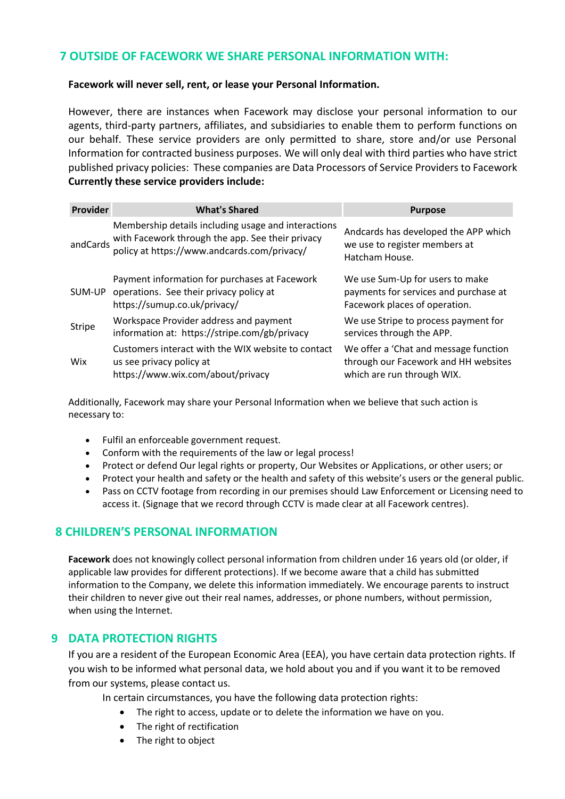# **7 OUTSIDE OF FACEWORK WE SHARE PERSONAL INFORMATION WITH:**

#### **Facework will never sell, rent, or lease your Personal Information.**

However, there are instances when Facework may disclose your personal information to our agents, third-party partners, affiliates, and subsidiaries to enable them to perform functions on our behalf. These service providers are only permitted to share, store and/or use Personal Information for contracted business purposes. We will only deal with third parties who have strict published privacy policies: These companies are Data Processors of Service Providers to Facework **Currently these service providers include:**

| <b>Provider</b> | <b>What's Shared</b>                                                                                                                                   | <b>Purpose</b>                                                                                              |
|-----------------|--------------------------------------------------------------------------------------------------------------------------------------------------------|-------------------------------------------------------------------------------------------------------------|
| andCards        | Membership details including usage and interactions<br>with Facework through the app. See their privacy<br>policy at https://www.andcards.com/privacy/ | Andcards has developed the APP which<br>we use to register members at<br>Hatcham House.                     |
| SUM-UP          | Payment information for purchases at Facework<br>operations. See their privacy policy at<br>https://sumup.co.uk/privacy/                               | We use Sum-Up for users to make<br>payments for services and purchase at<br>Facework places of operation.   |
| Stripe          | Workspace Provider address and payment<br>information at: https://stripe.com/gb/privacy                                                                | We use Stripe to process payment for<br>services through the APP.                                           |
| Wix             | Customers interact with the WIX website to contact<br>us see privacy policy at<br>https://www.wix.com/about/privacy                                    | We offer a 'Chat and message function<br>through our Facework and HH websites<br>which are run through WIX. |

Additionally, Facework may share your Personal Information when we believe that such action is necessary to:

- Fulfil an enforceable government request.
- Conform with the requirements of the law or legal process!
- Protect or defend Our legal rights or property, Our Websites or Applications, or other users; or
- Protect your health and safety or the health and safety of this website's users or the general public.
- Pass on CCTV footage from recording in our premises should Law Enforcement or Licensing need to access it. (Signage that we record through CCTV is made clear at all Facework centres).

# **8 CHILDREN'S PERSONAL INFORMATION**

**Facework** does not knowingly collect personal information from children under 16 years old (or older, if applicable law provides for different protections). If we become aware that a child has submitted information to the Company, we delete this information immediately. We encourage parents to instruct their children to never give out their real names, addresses, or phone numbers, without permission, when using the Internet.

# **9 DATA PROTECTION RIGHTS**

If you are a resident of the European Economic Area (EEA), you have certain data protection rights. If you wish to be informed what personal data, we hold about you and if you want it to be removed from our systems, please contact us.

In certain circumstances, you have the following data protection rights:

- The right to access, update or to delete the information we have on you.
- The right of rectification
- The right to object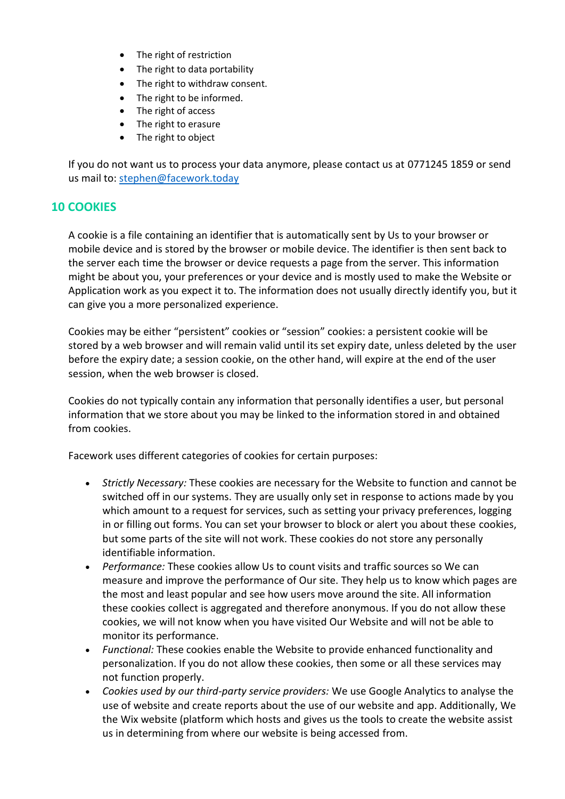- The right of restriction
- The right to data portability
- The right to withdraw consent.
- The right to be informed.
- The right of access
- The right to erasure
- The right to object

If you do not want us to process your data anymore, please contact us at 0771245 1859 or send us mail to: [stephen@facework.today](mailto:stephen@facework.today)

### **10 COOKIES**

A cookie is a file containing an identifier that is automatically sent by Us to your browser or mobile device and is stored by the browser or mobile device. The identifier is then sent back to the server each time the browser or device requests a page from the server. This information might be about you, your preferences or your device and is mostly used to make the Website or Application work as you expect it to. The information does not usually directly identify you, but it can give you a more personalized experience.

Cookies may be either "persistent" cookies or "session" cookies: a persistent cookie will be stored by a web browser and will remain valid until its set expiry date, unless deleted by the user before the expiry date; a session cookie, on the other hand, will expire at the end of the user session, when the web browser is closed.

Cookies do not typically contain any information that personally identifies a user, but personal information that we store about you may be linked to the information stored in and obtained from cookies.

Facework uses different categories of cookies for certain purposes:

- *Strictly Necessary:* These cookies are necessary for the Website to function and cannot be switched off in our systems. They are usually only set in response to actions made by you which amount to a request for services, such as setting your privacy preferences, logging in or filling out forms. You can set your browser to block or alert you about these cookies, but some parts of the site will not work. These cookies do not store any personally identifiable information.
- *Performance:* These cookies allow Us to count visits and traffic sources so We can measure and improve the performance of Our site. They help us to know which pages are the most and least popular and see how users move around the site. All information these cookies collect is aggregated and therefore anonymous. If you do not allow these cookies, we will not know when you have visited Our Website and will not be able to monitor its performance.
- *Functional:* These cookies enable the Website to provide enhanced functionality and personalization. If you do not allow these cookies, then some or all these services may not function properly.
- *Cookies used by our third-party service providers:* We use Google Analytics to analyse the use of website and create reports about the use of our website and app. Additionally, We the Wix website (platform which hosts and gives us the tools to create the website assist us in determining from where our website is being accessed from.